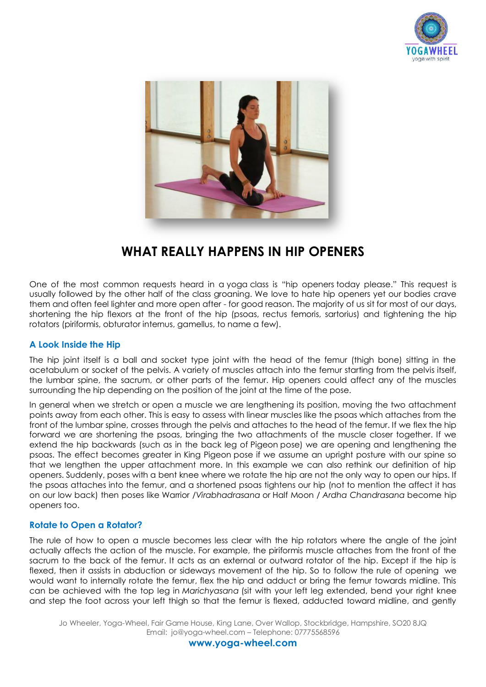



# **WHAT REALLY HAPPENS IN HIP OPENERS**

One of the most common requests heard in a [yoga](http://www.myyogaonline.com/videos/tag/yoga) class is "[hip openers](http://www.myyogaonline.com/videos/yoga/water-hip-openers-to-set-you-free) today please." This request is usually followed by the other half of the class groaning. We love to hate hip openers yet our bodies crave them and often feel lighter and more open after - for good reason. The majority of us sit for most of our days, shortening the hip flexors at the front of the hip (psoas, rectus femoris, sartorius) and tightening the hip rotators (piriformis, obturator internus, gamellus, to name a few).

### **A Look Inside the Hip**

The hip joint itself is a ball and socket type joint with the head of the femur (thigh bone) sitting in the acetabulum or socket of the pelvis. A variety of muscles attach into the femur starting from the pelvis itself, the lumbar spine, the sacrum, or other parts of the femur. Hip openers could affect any of the muscles surrounding the hip depending on the position of the joint at the time of the pose.

In general when we stretch or open a muscle we are lengthening its position, moving the two attachment points away from each other. This is easy to assess with linear muscles like the psoas which attaches from the front of the lumbar spine, crosses through the pelvis and attaches to the head of the femur. If we flex the hip forward we are shortening the psoas, bringing the two attachments of the muscle closer together. If we extend the hip backwards (such as in the back leg of [Pigeon](http://www.myyogaonline.com/community/wellness-diary/announcements/21771-video-pose-of-the-week-pigeon-pose) pose) we are opening and lengthening the psoas. The effect becomes greater in [King Pigeon](http://www.myyogaonline.com/videos/yoga/advanced-backbends-king-pigeon-series) pose if we assume an upright posture with our spine so that we lengthen the upper attachment more. In this example we can also rethink our definition of hip openers. Suddenly, poses with a bent knee where we rotate the hip are not the only way to open our hips. If the psoas attaches into the femur, and a shortened psoas tightens our hip (not to mention the affect it has on our low back) then poses like [Warrior /](http://www.myyogaonline.com/about-yoga/yoga-anatomy/positioning-virabhadrasana-i-warrior-i-pose)*[Virabhadrasana](http://www.myyogaonline.com/about-yoga/yoga-anatomy/positioning-virabhadrasana-i-warrior-i-pose)* or Half Moon / *[Ardha Chandrasana](http://www.myyogaonline.com/poses/standing/half-moon-pose-ardha-chandrasana)* become hip openers too.

## **Rotate to Open a Rotator?**

The rule of how to open a muscle becomes less clear with the hip rotators where the angle of the joint actually affects the action of the muscle. For example, the piriformis muscle attaches from the front of the sacrum to the back of the femur. It acts as an external or outward rotator of the hip. Except if the hip is flexed, then it assists in abduction or sideways movement of the hip. So to follow the rule of opening we would want to internally rotate the femur, flex the hip and adduct or bring the femur towards midline. This can be achieved with the top leg in *Marichyasana* (sit with your left leg extended, bend your right knee and step the foot across your left thigh so that the femur is flexed, adducted toward midline, and gently

Jo Wheeler, Yoga-Wheel, Fair Game House, King Lane, Over Wallop, Stockbridge, Hampshire, SO20 8JQ Email: jo@yoga-wheel.com – Telephone: 07775568596

**www.yoga-wheel.com**